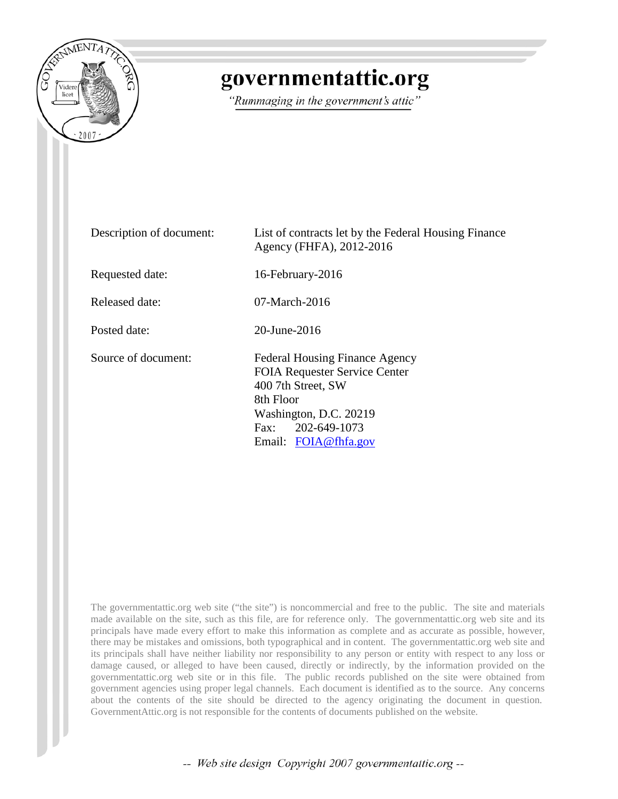

## governmentattic.org

"Rummaging in the government's attic"

Description of document: List of contracts let by the Federal Housing Finance Agency (FHFA), 2012-2016 Requested date: 16-February-2016 Released date: 07-March-2016 Posted date: 20-June-2016 Source of document: Federal Housing Finance Agency FOIA Requester Service Center 400 7th Street, SW 8th Floor Washington, D.C. 20219 Fax: 202-649-1073 Email: [FOIA@fhfa.gov](mailto:FOIA@fhfa.gov?subject=FOIA%20Request)

The governmentattic.org web site ("the site") is noncommercial and free to the public. The site and materials made available on the site, such as this file, are for reference only. The governmentattic.org web site and its principals have made every effort to make this information as complete and as accurate as possible, however, there may be mistakes and omissions, both typographical and in content. The governmentattic.org web site and its principals shall have neither liability nor responsibility to any person or entity with respect to any loss or damage caused, or alleged to have been caused, directly or indirectly, by the information provided on the governmentattic.org web site or in this file. The public records published on the site were obtained from government agencies using proper legal channels. Each document is identified as to the source. Any concerns about the contents of the site should be directed to the agency originating the document in question. GovernmentAttic.org is not responsible for the contents of documents published on the website.

-- Web site design Copyright 2007 governmentattic.org --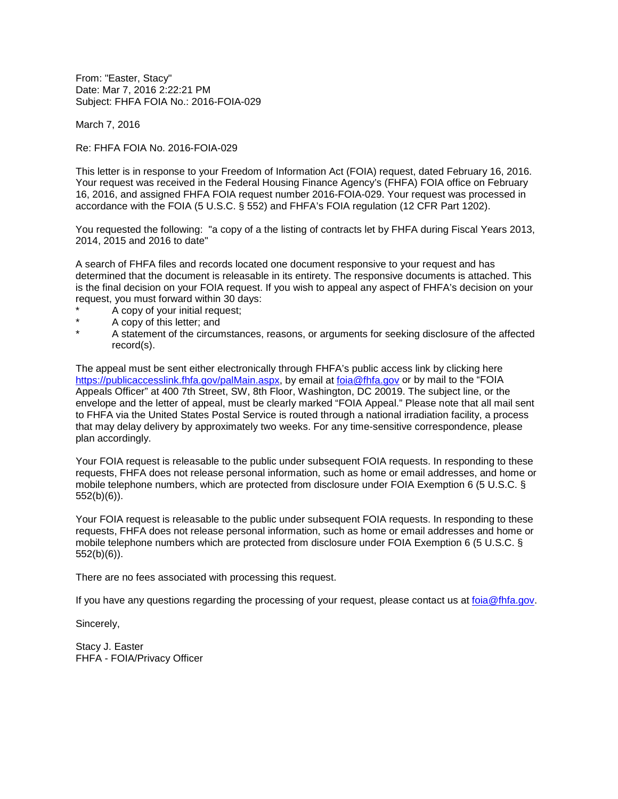From: "Easter, Stacy" Date: Mar 7, 2016 2:22:21 PM Subject: FHFA FOIA No.: 2016-FOIA-029

March 7, 2016

Re: FHFA FOIA No. 2016-FOIA-029

This letter is in response to your Freedom of Information Act (FOIA) request, dated February 16, 2016. Your request was received in the Federal Housing Finance Agency's (FHFA) FOIA office on February 16, 2016, and assigned FHFA FOIA request number 2016-FOIA-029. Your request was processed in accordance with the FOIA (5 U.S.C. § 552) and FHFA's FOIA regulation (12 CFR Part 1202).

You requested the following: "a copy of a the listing of contracts let by FHFA during Fiscal Years 2013, 2014, 2015 and 2016 to date"

A search of FHFA files and records located one document responsive to your request and has determined that the document is releasable in its entirety. The responsive documents is attached. This is the final decision on your FOIA request. If you wish to appeal any aspect of FHFA's decision on your request, you must forward within 30 days:

- A copy of your initial request;
- A copy of this letter; and
- A statement of the circumstances, reasons, or arguments for seeking disclosure of the affected record(s).

The appeal must be sent either electronically through FHFA's public access link by clicking here [https://publicaccesslink.fhfa.gov/palMain.aspx,](https://publicaccesslink.fhfa.gov/palMain.aspx) by email at [foia@fhfa.gov](mailto:foia@fhfa.gov?subject=FOIA%20Request) or by mail to the "FOIA Appeals Officer" at 400 7th Street, SW, 8th Floor, Washington, DC 20019. The subject line, or the envelope and the letter of appeal, must be clearly marked "FOIA Appeal." Please note that all mail sent to FHFA via the United States Postal Service is routed through a national irradiation facility, a process that may delay delivery by approximately two weeks. For any time-sensitive correspondence, please plan accordingly.

Your FOIA request is releasable to the public under subsequent FOIA requests. In responding to these requests, FHFA does not release personal information, such as home or email addresses, and home or mobile telephone numbers, which are protected from disclosure under FOIA Exemption 6 (5 U.S.C. § 552(b)(6)).

Your FOIA request is releasable to the public under subsequent FOIA requests. In responding to these requests, FHFA does not release personal information, such as home or email addresses and home or mobile telephone numbers which are protected from disclosure under FOIA Exemption 6 (5 U.S.C. § 552(b)(6)).

There are no fees associated with processing this request.

If you have any questions regarding the processing of your request, please contact us at [foia@fhfa.gov.](mailto:foia@fhfa.gov?subject=FOIA%20Request)

Sincerely,

Stacy J. Easter FHFA - FOIA/Privacy Officer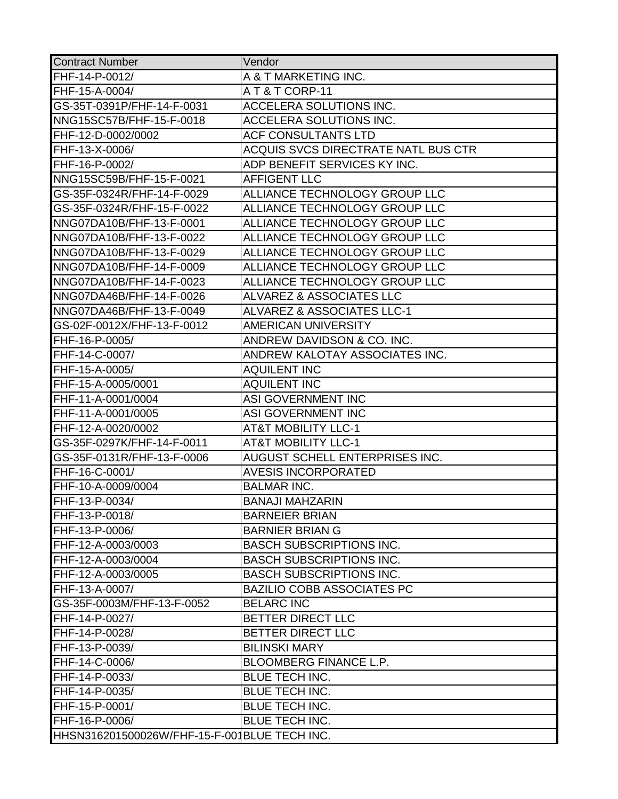| <b>Contract Number</b>                       | Vendor                                |
|----------------------------------------------|---------------------------------------|
| FHF-14-P-0012/                               | A & T MARKETING INC.                  |
| FHF-15-A-0004/                               | AT&TCORP-11                           |
| GS-35T-0391P/FHF-14-F-0031                   | ACCELERA SOLUTIONS INC.               |
| NNG15SC57B/FHF-15-F-0018                     | <b>ACCELERA SOLUTIONS INC.</b>        |
| FHF-12-D-0002/0002                           | <b>ACF CONSULTANTS LTD</b>            |
| FHF-13-X-0006/                               | ACQUIS SVCS DIRECTRATE NATL BUS CTR   |
| FHF-16-P-0002/                               | ADP BENEFIT SERVICES KY INC.          |
| NNG15SC59B/FHF-15-F-0021                     | <b>AFFIGENT LLC</b>                   |
| GS-35F-0324R/FHF-14-F-0029                   | ALLIANCE TECHNOLOGY GROUP LLC         |
| GS-35F-0324R/FHF-15-F-0022                   | ALLIANCE TECHNOLOGY GROUP LLC         |
| NNG07DA10B/FHF-13-F-0001                     | ALLIANCE TECHNOLOGY GROUP LLC         |
| NNG07DA10B/FHF-13-F-0022                     | ALLIANCE TECHNOLOGY GROUP LLC         |
| NNG07DA10B/FHF-13-F-0029                     | ALLIANCE TECHNOLOGY GROUP LLC         |
| NNG07DA10B/FHF-14-F-0009                     | ALLIANCE TECHNOLOGY GROUP LLC         |
| NNG07DA10B/FHF-14-F-0023                     | ALLIANCE TECHNOLOGY GROUP LLC         |
| NNG07DA46B/FHF-14-F-0026                     | <b>ALVAREZ &amp; ASSOCIATES LLC</b>   |
| NNG07DA46B/FHF-13-F-0049                     | <b>ALVAREZ &amp; ASSOCIATES LLC-1</b> |
| GS-02F-0012X/FHF-13-F-0012                   | AMERICAN UNIVERSITY                   |
| FHF-16-P-0005/                               | ANDREW DAVIDSON & CO. INC.            |
| FHF-14-C-0007/                               | ANDREW KALOTAY ASSOCIATES INC.        |
| FHF-15-A-0005/                               | <b>AQUILENT INC</b>                   |
| FHF-15-A-0005/0001                           | <b>AQUILENT INC</b>                   |
| FHF-11-A-0001/0004                           | ASI GOVERNMENT INC                    |
| FHF-11-A-0001/0005                           | ASI GOVERNMENT INC                    |
| FHF-12-A-0020/0002                           | <b>AT&amp;T MOBILITY LLC-1</b>        |
| GS-35F-0297K/FHF-14-F-0011                   | <b>AT&amp;T MOBILITY LLC-1</b>        |
| GS-35F-0131R/FHF-13-F-0006                   | AUGUST SCHELL ENTERPRISES INC.        |
| FHF-16-C-0001/                               | <b>AVESIS INCORPORATED</b>            |
| FHF-10-A-0009/0004                           | <b>BALMAR INC.</b>                    |
| FHF-13-P-0034/                               | <b>BANAJI MAHZARIN</b>                |
| FHF-13-P-0018/                               | <b>BARNEIER BRIAN</b>                 |
| FHF-13-P-0006/                               | <b>BARNIER BRIAN G</b>                |
| FHF-12-A-0003/0003                           | <b>BASCH SUBSCRIPTIONS INC.</b>       |
| FHF-12-A-0003/0004                           | <b>BASCH SUBSCRIPTIONS INC.</b>       |
| FHF-12-A-0003/0005                           | <b>BASCH SUBSCRIPTIONS INC.</b>       |
| FHF-13-A-0007/                               | <b>BAZILIO COBB ASSOCIATES PC</b>     |
| GS-35F-0003M/FHF-13-F-0052                   | <b>BELARC INC</b>                     |
| FHF-14-P-0027/                               | <b>BETTER DIRECT LLC</b>              |
| FHF-14-P-0028/                               | <b>BETTER DIRECT LLC</b>              |
| FHF-13-P-0039/                               | <b>BILINSKI MARY</b>                  |
| FHF-14-C-0006/                               | <b>BLOOMBERG FINANCE L.P.</b>         |
| FHF-14-P-0033/                               | <b>BLUE TECH INC.</b>                 |
| FHF-14-P-0035/                               | BLUE TECH INC.                        |
| FHF-15-P-0001/                               | <b>BLUE TECH INC.</b>                 |
| FHF-16-P-0006/                               | <b>BLUE TECH INC.</b>                 |
| HHSN316201500026W/FHF-15-F-001BLUE TECH INC. |                                       |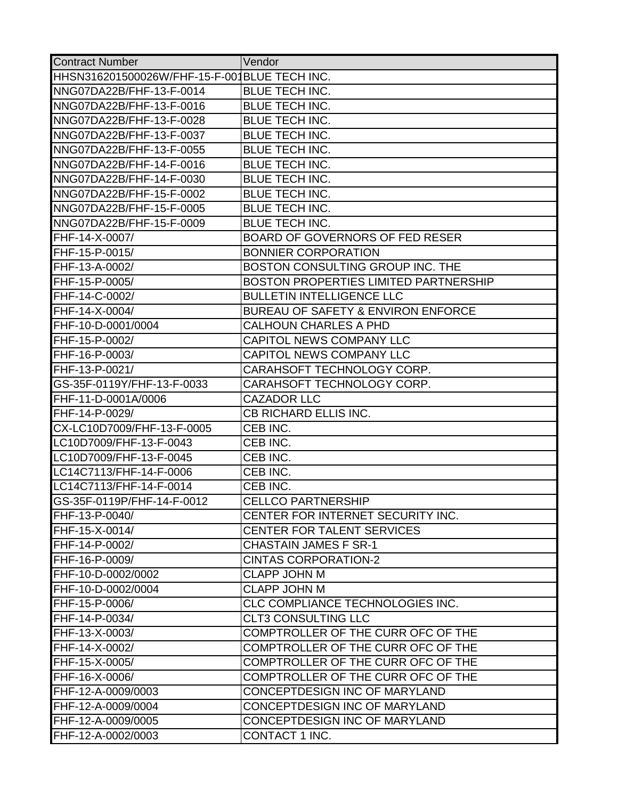| <b>Contract Number</b>                       | Vendor                                 |
|----------------------------------------------|----------------------------------------|
| HHSN316201500026W/FHF-15-F-001BLUE TECH INC. |                                        |
| NNG07DA22B/FHF-13-F-0014                     | <b>BLUE TECH INC.</b>                  |
| NNG07DA22B/FHF-13-F-0016                     | BLUE TECH INC.                         |
| NNG07DA22B/FHF-13-F-0028                     | <b>BLUE TECH INC.</b>                  |
| NNG07DA22B/FHF-13-F-0037                     | <b>BLUE TECH INC.</b>                  |
| NNG07DA22B/FHF-13-F-0055                     | <b>BLUE TECH INC.</b>                  |
| NNG07DA22B/FHF-14-F-0016                     | <b>BLUE TECH INC.</b>                  |
| NNG07DA22B/FHF-14-F-0030                     | BLUE TECH INC.                         |
| NNG07DA22B/FHF-15-F-0002                     | <b>BLUE TECH INC.</b>                  |
| NNG07DA22B/FHF-15-F-0005                     | BLUE TECH INC.                         |
| NNG07DA22B/FHF-15-F-0009                     | <b>BLUE TECH INC.</b>                  |
| FHF-14-X-0007/                               | <b>BOARD OF GOVERNORS OF FED RESER</b> |
| FHF-15-P-0015/                               | <b>BONNIER CORPORATION</b>             |
| FHF-13-A-0002/                               | BOSTON CONSULTING GROUP INC. THE       |
| FHF-15-P-0005/                               | BOSTON PROPERTIES LIMITED PARTNERSHIP  |
| FHF-14-C-0002/                               | <b>BULLETIN INTELLIGENCE LLC</b>       |
| FHF-14-X-0004/                               | BUREAU OF SAFETY & ENVIRON ENFORCE     |
| FHF-10-D-0001/0004                           | <b>CALHOUN CHARLES A PHD</b>           |
| FHF-15-P-0002/                               | <b>CAPITOL NEWS COMPANY LLC</b>        |
| FHF-16-P-0003/                               | <b>CAPITOL NEWS COMPANY LLC</b>        |
| FHF-13-P-0021/                               | CARAHSOFT TECHNOLOGY CORP.             |
| GS-35F-0119Y/FHF-13-F-0033                   | CARAHSOFT TECHNOLOGY CORP.             |
| FHF-11-D-0001A/0006                          | <b>CAZADOR LLC</b>                     |
| FHF-14-P-0029/                               | CB RICHARD ELLIS INC.                  |
| CX-LC10D7009/FHF-13-F-0005                   | CEB INC.                               |
| LC10D7009/FHF-13-F-0043                      | CEB INC.                               |
| LC10D7009/FHF-13-F-0045                      | CEB INC.                               |
| LC14C7113/FHF-14-F-0006                      | CEB INC.                               |
| LC14C7113/FHF-14-F-0014                      | CEB INC.                               |
| GS-35F-0119P/FHF-14-F-0012                   | <b>CELLCO PARTNERSHIP</b>              |
| FHF-13-P-0040/                               | CENTER FOR INTERNET SECURITY INC.      |
| FHF-15-X-0014/                               | CENTER FOR TALENT SERVICES             |
| FHF-14-P-0002/                               | <b>CHASTAIN JAMES F SR-1</b>           |
| FHF-16-P-0009/                               | <b>CINTAS CORPORATION-2</b>            |
| FHF-10-D-0002/0002                           | <b>CLAPP JOHN M</b>                    |
| FHF-10-D-0002/0004                           | <b>CLAPP JOHN M</b>                    |
| FHF-15-P-0006/                               | CLC COMPLIANCE TECHNOLOGIES INC.       |
| FHF-14-P-0034/                               | <b>CLT3 CONSULTING LLC</b>             |
| FHF-13-X-0003/                               | COMPTROLLER OF THE CURR OFC OF THE     |
| FHF-14-X-0002/                               | COMPTROLLER OF THE CURR OFC OF THE     |
| FHF-15-X-0005/                               | COMPTROLLER OF THE CURR OFC OF THE     |
| FHF-16-X-0006/                               | COMPTROLLER OF THE CURR OFC OF THE     |
| FHF-12-A-0009/0003                           | CONCEPTDESIGN INC OF MARYLAND          |
| FHF-12-A-0009/0004                           | CONCEPTDESIGN INC OF MARYLAND          |
| FHF-12-A-0009/0005                           | CONCEPTDESIGN INC OF MARYLAND          |
| FHF-12-A-0002/0003                           | CONTACT 1 INC.                         |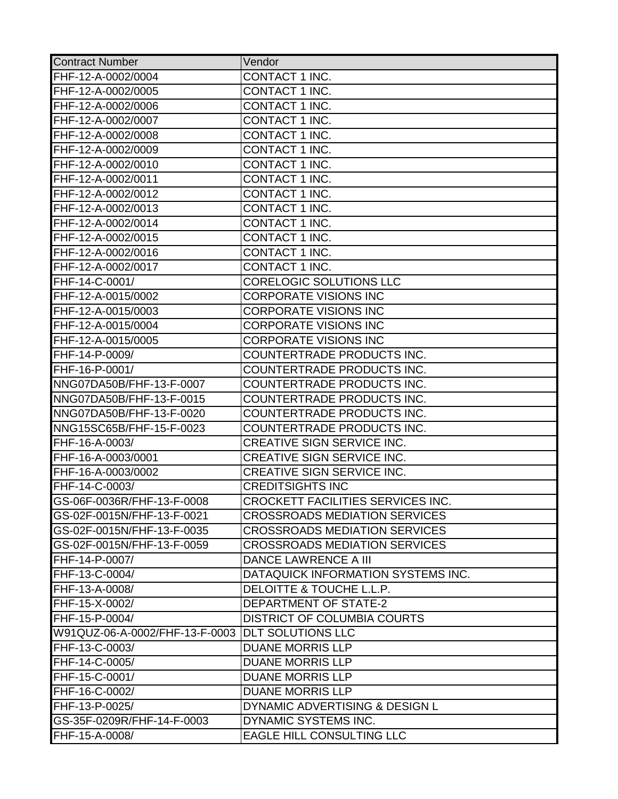| <b>Contract Number</b>                           | Vendor                               |
|--------------------------------------------------|--------------------------------------|
| FHF-12-A-0002/0004                               | CONTACT 1 INC.                       |
| FHF-12-A-0002/0005                               | CONTACT 1 INC.                       |
| FHF-12-A-0002/0006                               | CONTACT 1 INC.                       |
| FHF-12-A-0002/0007                               | CONTACT 1 INC.                       |
| FHF-12-A-0002/0008                               | CONTACT 1 INC.                       |
| FHF-12-A-0002/0009                               | <b>CONTACT 1 INC.</b>                |
| FHF-12-A-0002/0010                               | CONTACT 1 INC.                       |
| FHF-12-A-0002/0011                               | <b>CONTACT 1 INC.</b>                |
| FHF-12-A-0002/0012                               | CONTACT 1 INC.                       |
| FHF-12-A-0002/0013                               | CONTACT 1 INC.                       |
| FHF-12-A-0002/0014                               | CONTACT 1 INC.                       |
| FHF-12-A-0002/0015                               | CONTACT 1 INC.                       |
| FHF-12-A-0002/0016                               | <b>CONTACT 1 INC.</b>                |
| FHF-12-A-0002/0017                               | CONTACT 1 INC.                       |
| FHF-14-C-0001/                                   | CORELOGIC SOLUTIONS LLC              |
| FHF-12-A-0015/0002                               | <b>CORPORATE VISIONS INC</b>         |
| FHF-12-A-0015/0003                               | <b>CORPORATE VISIONS INC</b>         |
| FHF-12-A-0015/0004                               | <b>CORPORATE VISIONS INC</b>         |
| FHF-12-A-0015/0005                               | <b>CORPORATE VISIONS INC</b>         |
| FHF-14-P-0009/                                   | COUNTERTRADE PRODUCTS INC.           |
| FHF-16-P-0001/                                   | COUNTERTRADE PRODUCTS INC.           |
| NNG07DA50B/FHF-13-F-0007                         | COUNTERTRADE PRODUCTS INC.           |
| NNG07DA50B/FHF-13-F-0015                         | COUNTERTRADE PRODUCTS INC.           |
| NNG07DA50B/FHF-13-F-0020                         | COUNTERTRADE PRODUCTS INC.           |
| NNG15SC65B/FHF-15-F-0023                         | COUNTERTRADE PRODUCTS INC.           |
| FHF-16-A-0003/                                   | CREATIVE SIGN SERVICE INC.           |
| FHF-16-A-0003/0001                               | CREATIVE SIGN SERVICE INC.           |
| FHF-16-A-0003/0002                               | CREATIVE SIGN SERVICE INC.           |
| FHF-14-C-0003/                                   | <b>CREDITSIGHTS INC</b>              |
| GS-06F-0036R/FHF-13-F-0008                       | CROCKETT FACILITIES SERVICES INC.    |
| GS-02F-0015N/FHF-13-F-0021                       | <b>CROSSROADS MEDIATION SERVICES</b> |
| GS-02F-0015N/FHF-13-F-0035                       | <b>CROSSROADS MEDIATION SERVICES</b> |
| GS-02F-0015N/FHF-13-F-0059                       | <b>CROSSROADS MEDIATION SERVICES</b> |
| FHF-14-P-0007/                                   | <b>DANCE LAWRENCE A III</b>          |
| FHF-13-C-0004/                                   | DATAQUICK INFORMATION SYSTEMS INC.   |
| FHF-13-A-0008/                                   | DELOITTE & TOUCHE L.L.P.             |
| FHF-15-X-0002/                                   | DEPARTMENT OF STATE-2                |
| FHF-15-P-0004/                                   | <b>DISTRICT OF COLUMBIA COURTS</b>   |
| W91QUZ-06-A-0002/FHF-13-F-0003 DLT SOLUTIONS LLC |                                      |
| FHF-13-C-0003/                                   | <b>DUANE MORRIS LLP</b>              |
| FHF-14-C-0005/                                   | <b>DUANE MORRIS LLP</b>              |
| FHF-15-C-0001/                                   | <b>DUANE MORRIS LLP</b>              |
| FHF-16-C-0002/                                   | <b>DUANE MORRIS LLP</b>              |
| FHF-13-P-0025/                                   | DYNAMIC ADVERTISING & DESIGN L       |
| GS-35F-0209R/FHF-14-F-0003                       | DYNAMIC SYSTEMS INC.                 |
| FHF-15-A-0008/                                   | <b>EAGLE HILL CONSULTING LLC</b>     |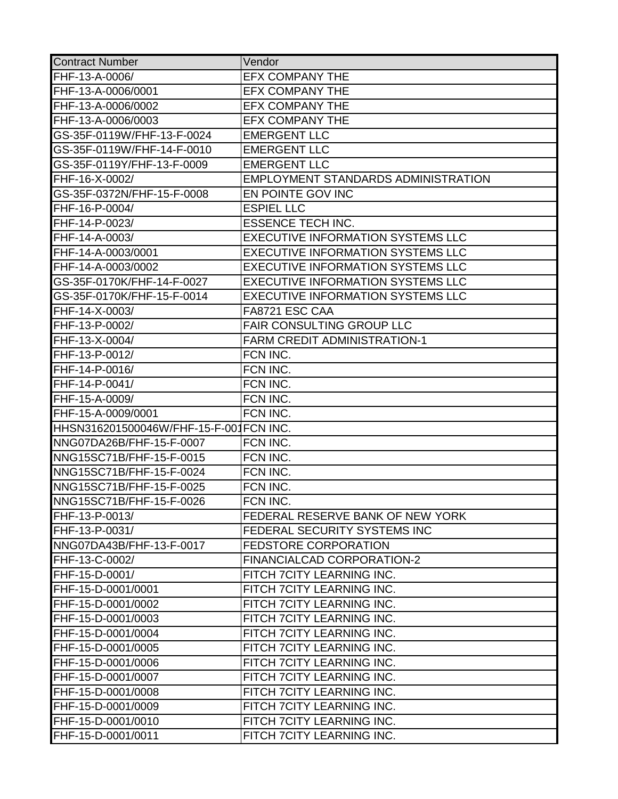| <b>Contract Number</b>                 | Vendor                                     |
|----------------------------------------|--------------------------------------------|
| FHF-13-A-0006/                         | <b>EFX COMPANY THE</b>                     |
| FHF-13-A-0006/0001                     | <b>EFX COMPANY THE</b>                     |
| FHF-13-A-0006/0002                     | <b>EFX COMPANY THE</b>                     |
| FHF-13-A-0006/0003                     | <b>EFX COMPANY THE</b>                     |
| GS-35F-0119W/FHF-13-F-0024             | <b>EMERGENT LLC</b>                        |
| GS-35F-0119W/FHF-14-F-0010             | <b>EMERGENT LLC</b>                        |
| GS-35F-0119Y/FHF-13-F-0009             | <b>EMERGENT LLC</b>                        |
| FHF-16-X-0002/                         | <b>EMPLOYMENT STANDARDS ADMINISTRATION</b> |
| GS-35F-0372N/FHF-15-F-0008             | EN POINTE GOV INC                          |
| FHF-16-P-0004/                         | <b>ESPIEL LLC</b>                          |
| FHF-14-P-0023/                         | <b>ESSENCE TECH INC.</b>                   |
| FHF-14-A-0003/                         | <b>EXECUTIVE INFORMATION SYSTEMS LLC</b>   |
| FHF-14-A-0003/0001                     | <b>EXECUTIVE INFORMATION SYSTEMS LLC</b>   |
| FHF-14-A-0003/0002                     | <b>EXECUTIVE INFORMATION SYSTEMS LLC</b>   |
| GS-35F-0170K/FHF-14-F-0027             | <b>EXECUTIVE INFORMATION SYSTEMS LLC</b>   |
| GS-35F-0170K/FHF-15-F-0014             | <b>EXECUTIVE INFORMATION SYSTEMS LLC</b>   |
| FHF-14-X-0003/                         | FA8721 ESC CAA                             |
| FHF-13-P-0002/                         | <b>FAIR CONSULTING GROUP LLC</b>           |
| FHF-13-X-0004/                         | <b>FARM CREDIT ADMINISTRATION-1</b>        |
| FHF-13-P-0012/                         | FCN INC.                                   |
| FHF-14-P-0016/                         | FCN INC.                                   |
| FHF-14-P-0041/                         | FCN INC.                                   |
| FHF-15-A-0009/                         | FCN INC.                                   |
| FHF-15-A-0009/0001                     | FCN INC.                                   |
| HHSN316201500046W/FHF-15-F-001FCN INC. |                                            |
| NNG07DA26B/FHF-15-F-0007               | FCN INC.                                   |
| NNG15SC71B/FHF-15-F-0015               | FCN INC.                                   |
| NNG15SC71B/FHF-15-F-0024               | FCN INC.                                   |
| NNG15SC71B/FHF-15-F-0025               | FCN INC.                                   |
| NNG15SC71B/FHF-15-F-0026               | FCN INC.                                   |
| FHF-13-P-0013/                         | FEDERAL RESERVE BANK OF NEW YORK           |
| FHF-13-P-0031/                         | <b>FEDERAL SECURITY SYSTEMS INC</b>        |
| NNG07DA43B/FHF-13-F-0017               | <b>FEDSTORE CORPORATION</b>                |
| FHF-13-C-0002/                         | <b>FINANCIALCAD CORPORATION-2</b>          |
| FHF-15-D-0001/                         | FITCH 7CITY LEARNING INC.                  |
| FHF-15-D-0001/0001                     | FITCH 7CITY LEARNING INC.                  |
| FHF-15-D-0001/0002                     | FITCH 7CITY LEARNING INC.                  |
| FHF-15-D-0001/0003                     | FITCH 7CITY LEARNING INC.                  |
| FHF-15-D-0001/0004                     | FITCH 7CITY LEARNING INC.                  |
| FHF-15-D-0001/0005                     | FITCH 7CITY LEARNING INC.                  |
| FHF-15-D-0001/0006                     | FITCH 7CITY LEARNING INC.                  |
| FHF-15-D-0001/0007                     | FITCH 7CITY LEARNING INC.                  |
| FHF-15-D-0001/0008                     | FITCH 7CITY LEARNING INC.                  |
| FHF-15-D-0001/0009                     | FITCH 7CITY LEARNING INC.                  |
| FHF-15-D-0001/0010                     | FITCH 7CITY LEARNING INC.                  |
| FHF-15-D-0001/0011                     | FITCH 7CITY LEARNING INC.                  |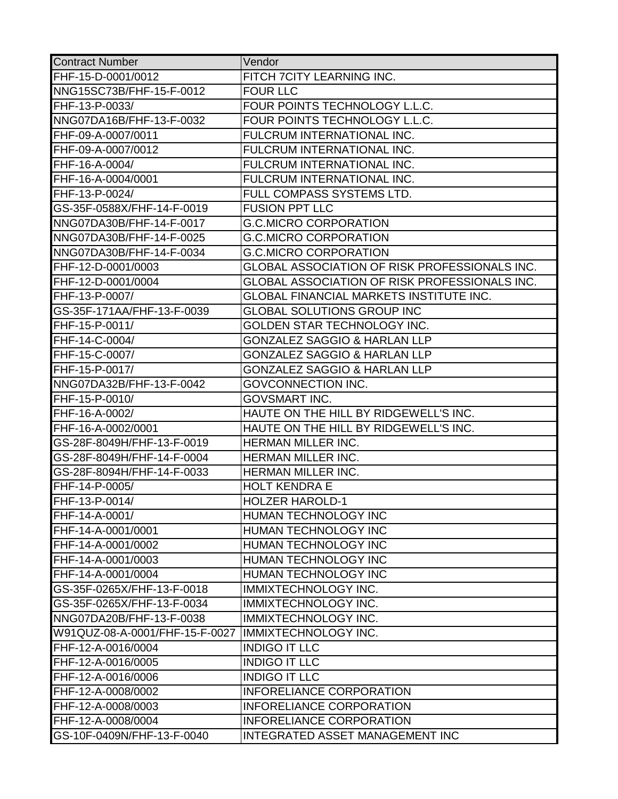| <b>Contract Number</b>         | Vendor                                         |
|--------------------------------|------------------------------------------------|
| FHF-15-D-0001/0012             | FITCH 7CITY LEARNING INC.                      |
| NNG15SC73B/FHF-15-F-0012       | <b>FOUR LLC</b>                                |
| FHF-13-P-0033/                 | FOUR POINTS TECHNOLOGY L.L.C.                  |
| NNG07DA16B/FHF-13-F-0032       | FOUR POINTS TECHNOLOGY L.L.C.                  |
| FHF-09-A-0007/0011             | FULCRUM INTERNATIONAL INC.                     |
| FHF-09-A-0007/0012             | FULCRUM INTERNATIONAL INC.                     |
| FHF-16-A-0004/                 | <b>FULCRUM INTERNATIONAL INC.</b>              |
| FHF-16-A-0004/0001             | FULCRUM INTERNATIONAL INC.                     |
| FHF-13-P-0024/                 | FULL COMPASS SYSTEMS LTD.                      |
| GS-35F-0588X/FHF-14-F-0019     | <b>FUSION PPT LLC</b>                          |
| NNG07DA30B/FHF-14-F-0017       | <b>G.C.MICRO CORPORATION</b>                   |
| NNG07DA30B/FHF-14-F-0025       | <b>G.C.MICRO CORPORATION</b>                   |
| NNG07DA30B/FHF-14-F-0034       | <b>G.C.MICRO CORPORATION</b>                   |
| FHF-12-D-0001/0003             | GLOBAL ASSOCIATION OF RISK PROFESSIONALS INC.  |
| FHF-12-D-0001/0004             | GLOBAL ASSOCIATION OF RISK PROFESSIONALS INC.  |
| FHF-13-P-0007/                 | <b>GLOBAL FINANCIAL MARKETS INSTITUTE INC.</b> |
| GS-35F-171AA/FHF-13-F-0039     | <b>GLOBAL SOLUTIONS GROUP INC</b>              |
| FHF-15-P-0011/                 | GOLDEN STAR TECHNOLOGY INC.                    |
| FHF-14-C-0004/                 | <b>GONZALEZ SAGGIO &amp; HARLAN LLP</b>        |
| FHF-15-C-0007/                 | <b>GONZALEZ SAGGIO &amp; HARLAN LLP</b>        |
| FHF-15-P-0017/                 | <b>GONZALEZ SAGGIO &amp; HARLAN LLP</b>        |
| NNG07DA32B/FHF-13-F-0042       | <b>GOVCONNECTION INC.</b>                      |
| FHF-15-P-0010/                 | <b>GOVSMART INC.</b>                           |
| FHF-16-A-0002/                 | HAUTE ON THE HILL BY RIDGEWELL'S INC.          |
| FHF-16-A-0002/0001             | HAUTE ON THE HILL BY RIDGEWELL'S INC.          |
| GS-28F-8049H/FHF-13-F-0019     | HERMAN MILLER INC.                             |
| GS-28F-8049H/FHF-14-F-0004     | <b>HERMAN MILLER INC.</b>                      |
| GS-28F-8094H/FHF-14-F-0033     | HERMAN MILLER INC.                             |
| FHF-14-P-0005/                 | <b>HOLT KENDRA E</b>                           |
| FHF-13-P-0014/                 | <b>HOLZER HAROLD-1</b>                         |
| FHF-14-A-0001/                 | HUMAN TECHNOLOGY INC                           |
| FHF-14-A-0001/0001             | HUMAN TECHNOLOGY INC                           |
| FHF-14-A-0001/0002             | HUMAN TECHNOLOGY INC                           |
| FHF-14-A-0001/0003             | HUMAN TECHNOLOGY INC                           |
| FHF-14-A-0001/0004             | <b>HUMAN TECHNOLOGY INC</b>                    |
| GS-35F-0265X/FHF-13-F-0018     | <b>IMMIXTECHNOLOGY INC.</b>                    |
| GS-35F-0265X/FHF-13-F-0034     | <b>IMMIXTECHNOLOGY INC.</b>                    |
| NNG07DA20B/FHF-13-F-0038       | <b>IMMIXTECHNOLOGY INC.</b>                    |
| W91QUZ-08-A-0001/FHF-15-F-0027 | <b>IMMIXTECHNOLOGY INC.</b>                    |
| FHF-12-A-0016/0004             | <b>INDIGO IT LLC</b>                           |
| FHF-12-A-0016/0005             | <b>INDIGO IT LLC</b>                           |
| FHF-12-A-0016/0006             | <b>INDIGO IT LLC</b>                           |
| FHF-12-A-0008/0002             | <b>INFORELIANCE CORPORATION</b>                |
| FHF-12-A-0008/0003             | <b>INFORELIANCE CORPORATION</b>                |
| FHF-12-A-0008/0004             | <b>INFORELIANCE CORPORATION</b>                |
| GS-10F-0409N/FHF-13-F-0040     | INTEGRATED ASSET MANAGEMENT INC                |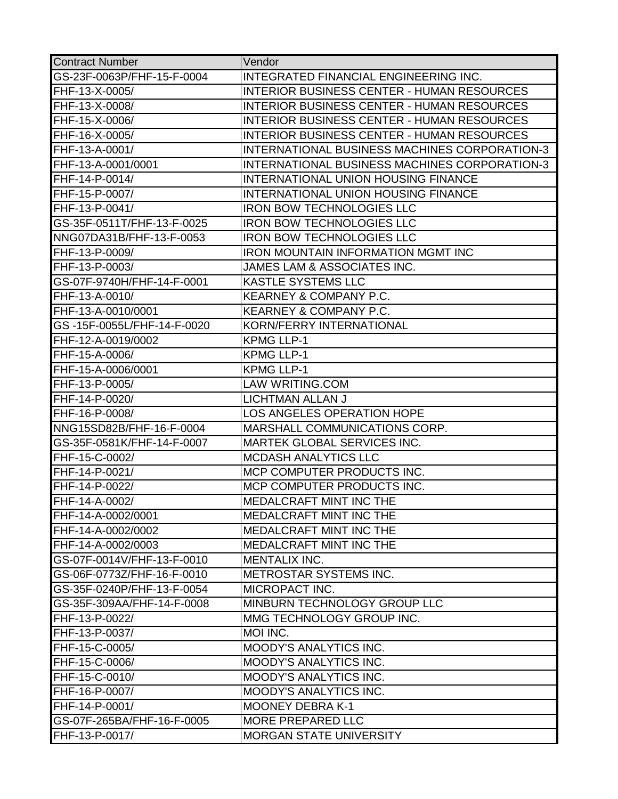| <b>Contract Number</b>     | Vendor                                               |
|----------------------------|------------------------------------------------------|
| GS-23F-0063P/FHF-15-F-0004 | INTEGRATED FINANCIAL ENGINEERING INC.                |
| FHF-13-X-0005/             | <b>INTERIOR BUSINESS CENTER - HUMAN RESOURCES</b>    |
| FHF-13-X-0008/             | <b>INTERIOR BUSINESS CENTER - HUMAN RESOURCES</b>    |
| FHF-15-X-0006/             | <b>INTERIOR BUSINESS CENTER - HUMAN RESOURCES</b>    |
| FHF-16-X-0005/             | <b>INTERIOR BUSINESS CENTER - HUMAN RESOURCES</b>    |
| FHF-13-A-0001/             | <b>INTERNATIONAL BUSINESS MACHINES CORPORATION-3</b> |
| FHF-13-A-0001/0001         | <b>INTERNATIONAL BUSINESS MACHINES CORPORATION-3</b> |
| FHF-14-P-0014/             | <b>INTERNATIONAL UNION HOUSING FINANCE</b>           |
| FHF-15-P-0007/             | <b>INTERNATIONAL UNION HOUSING FINANCE</b>           |
| FHF-13-P-0041/             | <b>IRON BOW TECHNOLOGIES LLC</b>                     |
| GS-35F-0511T/FHF-13-F-0025 | <b>IRON BOW TECHNOLOGIES LLC</b>                     |
| NNG07DA31B/FHF-13-F-0053   | <b>IRON BOW TECHNOLOGIES LLC</b>                     |
| FHF-13-P-0009/             | <b>IRON MOUNTAIN INFORMATION MGMT INC</b>            |
| FHF-13-P-0003/             | JAMES LAM & ASSOCIATES INC.                          |
| GS-07F-9740H/FHF-14-F-0001 | <b>KASTLE SYSTEMS LLC</b>                            |
| FHF-13-A-0010/             | <b>KEARNEY &amp; COMPANY P.C.</b>                    |
| FHF-13-A-0010/0001         | <b>KEARNEY &amp; COMPANY P.C.</b>                    |
| GS-15F-0055L/FHF-14-F-0020 | <b>KORN/FERRY INTERNATIONAL</b>                      |
| FHF-12-A-0019/0002         | <b>KPMG LLP-1</b>                                    |
| FHF-15-A-0006/             | <b>KPMG LLP-1</b>                                    |
| FHF-15-A-0006/0001         | <b>KPMG LLP-1</b>                                    |
| FHF-13-P-0005/             | <b>LAW WRITING.COM</b>                               |
| FHF-14-P-0020/             | LICHTMAN ALLAN J                                     |
| FHF-16-P-0008/             | LOS ANGELES OPERATION HOPE                           |
| NNG15SD82B/FHF-16-F-0004   | MARSHALL COMMUNICATIONS CORP.                        |
| GS-35F-0581K/FHF-14-F-0007 | MARTEK GLOBAL SERVICES INC.                          |
| FHF-15-C-0002/             | <b>MCDASH ANALYTICS LLC</b>                          |
| FHF-14-P-0021/             | MCP COMPUTER PRODUCTS INC.                           |
| FHF-14-P-0022/             | MCP COMPUTER PRODUCTS INC.                           |
| FHF-14-A-0002/             | <b>MEDALCRAFT MINT INC THE</b>                       |
| FHF-14-A-0002/0001         | <b>MEDALCRAFT MINT INC THE</b>                       |
| FHF-14-A-0002/0002         | <b>MEDALCRAFT MINT INC THE</b>                       |
| FHF-14-A-0002/0003         | MEDALCRAFT MINT INC THE                              |
| GS-07F-0014V/FHF-13-F-0010 | MENTALIX INC.                                        |
| GS-06F-0773Z/FHF-16-F-0010 | <b>METROSTAR SYSTEMS INC.</b>                        |
| GS-35F-0240P/FHF-13-F-0054 | <b>MICROPACT INC.</b>                                |
| GS-35F-309AA/FHF-14-F-0008 | MINBURN TECHNOLOGY GROUP LLC                         |
| FHF-13-P-0022/             | MMG TECHNOLOGY GROUP INC.                            |
| FHF-13-P-0037/             | MOI INC.                                             |
| FHF-15-C-0005/             | <b>MOODY'S ANALYTICS INC.</b>                        |
| FHF-15-C-0006/             | <b>MOODY'S ANALYTICS INC.</b>                        |
| FHF-15-C-0010/             | <b>MOODY'S ANALYTICS INC.</b>                        |
| FHF-16-P-0007/             | <b>MOODY'S ANALYTICS INC.</b>                        |
| FHF-14-P-0001/             | <b>MOONEY DEBRA K-1</b>                              |
| GS-07F-265BA/FHF-16-F-0005 | <b>MORE PREPARED LLC</b>                             |
| FHF-13-P-0017/             | <b>MORGAN STATE UNIVERSITY</b>                       |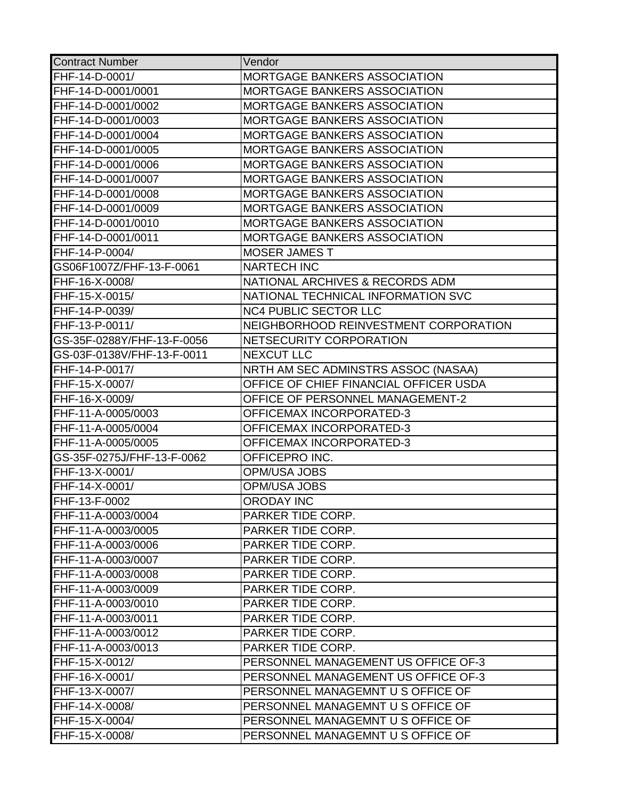| <b>Contract Number</b>     | Vendor                                 |
|----------------------------|----------------------------------------|
| FHF-14-D-0001/             | MORTGAGE BANKERS ASSOCIATION           |
| FHF-14-D-0001/0001         | <b>MORTGAGE BANKERS ASSOCIATION</b>    |
| FHF-14-D-0001/0002         | MORTGAGE BANKERS ASSOCIATION           |
| FHF-14-D-0001/0003         | <b>MORTGAGE BANKERS ASSOCIATION</b>    |
| FHF-14-D-0001/0004         | <b>MORTGAGE BANKERS ASSOCIATION</b>    |
| FHF-14-D-0001/0005         | <b>MORTGAGE BANKERS ASSOCIATION</b>    |
| FHF-14-D-0001/0006         | MORTGAGE BANKERS ASSOCIATION           |
| FHF-14-D-0001/0007         | MORTGAGE BANKERS ASSOCIATION           |
| FHF-14-D-0001/0008         | <b>MORTGAGE BANKERS ASSOCIATION</b>    |
| FHF-14-D-0001/0009         | MORTGAGE BANKERS ASSOCIATION           |
| FHF-14-D-0001/0010         | MORTGAGE BANKERS ASSOCIATION           |
| FHF-14-D-0001/0011         | <b>MORTGAGE BANKERS ASSOCIATION</b>    |
| FHF-14-P-0004/             | <b>MOSER JAMES T</b>                   |
| GS06F1007Z/FHF-13-F-0061   | <b>NARTECH INC</b>                     |
| FHF-16-X-0008/             | NATIONAL ARCHIVES & RECORDS ADM        |
| FHF-15-X-0015/             | NATIONAL TECHNICAL INFORMATION SVC     |
| FHF-14-P-0039/             | <b>NC4 PUBLIC SECTOR LLC</b>           |
| FHF-13-P-0011/             | NEIGHBORHOOD REINVESTMENT CORPORATION  |
| GS-35F-0288Y/FHF-13-F-0056 | NETSECURITY CORPORATION                |
| GS-03F-0138V/FHF-13-F-0011 | <b>NEXCUT LLC</b>                      |
| FHF-14-P-0017/             | NRTH AM SEC ADMINSTRS ASSOC (NASAA)    |
| FHF-15-X-0007/             | OFFICE OF CHIEF FINANCIAL OFFICER USDA |
| FHF-16-X-0009/             | OFFICE OF PERSONNEL MANAGEMENT-2       |
| FHF-11-A-0005/0003         | OFFICEMAX INCORPORATED-3               |
| FHF-11-A-0005/0004         | OFFICEMAX INCORPORATED-3               |
| FHF-11-A-0005/0005         | <b>OFFICEMAX INCORPORATED-3</b>        |
| GS-35F-0275J/FHF-13-F-0062 | OFFICEPRO INC.                         |
| FHF-13-X-0001/             | <b>OPM/USA JOBS</b>                    |
| FHF-14-X-0001/             | <b>OPM/USA JOBS</b>                    |
| FHF-13-F-0002              | <b>ORODAY INC</b>                      |
| FHF-11-A-0003/0004         | PARKER TIDE CORP.                      |
| FHF-11-A-0003/0005         | PARKER TIDE CORP.                      |
| FHF-11-A-0003/0006         | PARKER TIDE CORP.                      |
| FHF-11-A-0003/0007         | PARKER TIDE CORP.                      |
| FHF-11-A-0003/0008         | PARKER TIDE CORP.                      |
| FHF-11-A-0003/0009         | PARKER TIDE CORP.                      |
| FHF-11-A-0003/0010         | PARKER TIDE CORP.                      |
| FHF-11-A-0003/0011         | PARKER TIDE CORP.                      |
| FHF-11-A-0003/0012         | PARKER TIDE CORP.                      |
| FHF-11-A-0003/0013         | PARKER TIDE CORP.                      |
| FHF-15-X-0012/             | PERSONNEL MANAGEMENT US OFFICE OF-3    |
| FHF-16-X-0001/             | PERSONNEL MANAGEMENT US OFFICE OF-3    |
| FHF-13-X-0007/             | PERSONNEL MANAGEMNT U S OFFICE OF      |
| FHF-14-X-0008/             | PERSONNEL MANAGEMNT U S OFFICE OF      |
| FHF-15-X-0004/             | PERSONNEL MANAGEMNT U S OFFICE OF      |
| FHF-15-X-0008/             | PERSONNEL MANAGEMNT U S OFFICE OF      |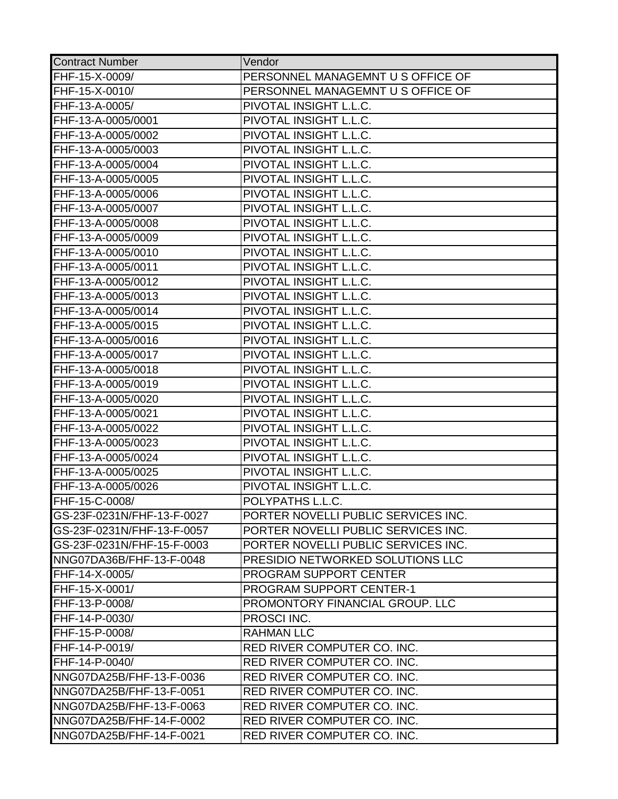| <b>Contract Number</b>     | Vendor                                  |
|----------------------------|-----------------------------------------|
| FHF-15-X-0009/             | PERSONNEL MANAGEMNT U S OFFICE OF       |
| FHF-15-X-0010/             | PERSONNEL MANAGEMNT U S OFFICE OF       |
| FHF-13-A-0005/             | PIVOTAL INSIGHT L.L.C.                  |
| FHF-13-A-0005/0001         | PIVOTAL INSIGHT L.L.C.                  |
| FHF-13-A-0005/0002         | PIVOTAL INSIGHT L.L.C.                  |
| FHF-13-A-0005/0003         | PIVOTAL INSIGHT L.L.C.                  |
| FHF-13-A-0005/0004         | PIVOTAL INSIGHT L.L.C.                  |
| FHF-13-A-0005/0005         | PIVOTAL INSIGHT L.L.C.                  |
| FHF-13-A-0005/0006         | PIVOTAL INSIGHT L.L.C.                  |
| FHF-13-A-0005/0007         | PIVOTAL INSIGHT L.L.C.                  |
| FHF-13-A-0005/0008         | PIVOTAL INSIGHT L.L.C.                  |
| FHF-13-A-0005/0009         | PIVOTAL INSIGHT L.L.C.                  |
| FHF-13-A-0005/0010         | PIVOTAL INSIGHT L.L.C.                  |
| FHF-13-A-0005/0011         | PIVOTAL INSIGHT L.L.C.                  |
| FHF-13-A-0005/0012         | PIVOTAL INSIGHT L.L.C.                  |
| FHF-13-A-0005/0013         | PIVOTAL INSIGHT L.L.C.                  |
| FHF-13-A-0005/0014         | PIVOTAL INSIGHT L.L.C.                  |
| FHF-13-A-0005/0015         | PIVOTAL INSIGHT L.L.C.                  |
| FHF-13-A-0005/0016         | PIVOTAL INSIGHT L.L.C.                  |
| FHF-13-A-0005/0017         | PIVOTAL INSIGHT L.L.C.                  |
| FHF-13-A-0005/0018         | PIVOTAL INSIGHT L.L.C.                  |
| FHF-13-A-0005/0019         | PIVOTAL INSIGHT L.L.C.                  |
| FHF-13-A-0005/0020         | PIVOTAL INSIGHT L.L.C.                  |
| FHF-13-A-0005/0021         | PIVOTAL INSIGHT L.L.C.                  |
| FHF-13-A-0005/0022         | PIVOTAL INSIGHT L.L.C.                  |
| FHF-13-A-0005/0023         | PIVOTAL INSIGHT L.L.C.                  |
| FHF-13-A-0005/0024         | PIVOTAL INSIGHT L.L.C.                  |
| FHF-13-A-0005/0025         | PIVOTAL INSIGHT L.L.C.                  |
| FHF-13-A-0005/0026         | PIVOTAL INSIGHT L.L.C.                  |
| FHF-15-C-0008/             | POLYPATHS L.L.C.                        |
| GS-23F-0231N/FHF-13-F-0027 | PORTER NOVELLI PUBLIC SERVICES INC.     |
| GS-23F-0231N/FHF-13-F-0057 | PORTER NOVELLI PUBLIC SERVICES INC.     |
| GS-23F-0231N/FHF-15-F-0003 | PORTER NOVELLI PUBLIC SERVICES INC.     |
| NNG07DA36B/FHF-13-F-0048   | <b>PRESIDIO NETWORKED SOLUTIONS LLC</b> |
| FHF-14-X-0005/             | <b>PROGRAM SUPPORT CENTER</b>           |
| FHF-15-X-0001/             | <b>PROGRAM SUPPORT CENTER-1</b>         |
| FHF-13-P-0008/             | <b>PROMONTORY FINANCIAL GROUP. LLC</b>  |
| FHF-14-P-0030/             | <b>PROSCI INC.</b>                      |
| FHF-15-P-0008/             | <b>RAHMAN LLC</b>                       |
| FHF-14-P-0019/             | <b>RED RIVER COMPUTER CO. INC.</b>      |
| FHF-14-P-0040/             | <b>RED RIVER COMPUTER CO. INC.</b>      |
| NNG07DA25B/FHF-13-F-0036   | <b>RED RIVER COMPUTER CO. INC.</b>      |
| NNG07DA25B/FHF-13-F-0051   | <b>RED RIVER COMPUTER CO. INC.</b>      |
| NNG07DA25B/FHF-13-F-0063   | <b>RED RIVER COMPUTER CO. INC.</b>      |
| NNG07DA25B/FHF-14-F-0002   | <b>RED RIVER COMPUTER CO. INC.</b>      |
| NNG07DA25B/FHF-14-F-0021   | RED RIVER COMPUTER CO. INC.             |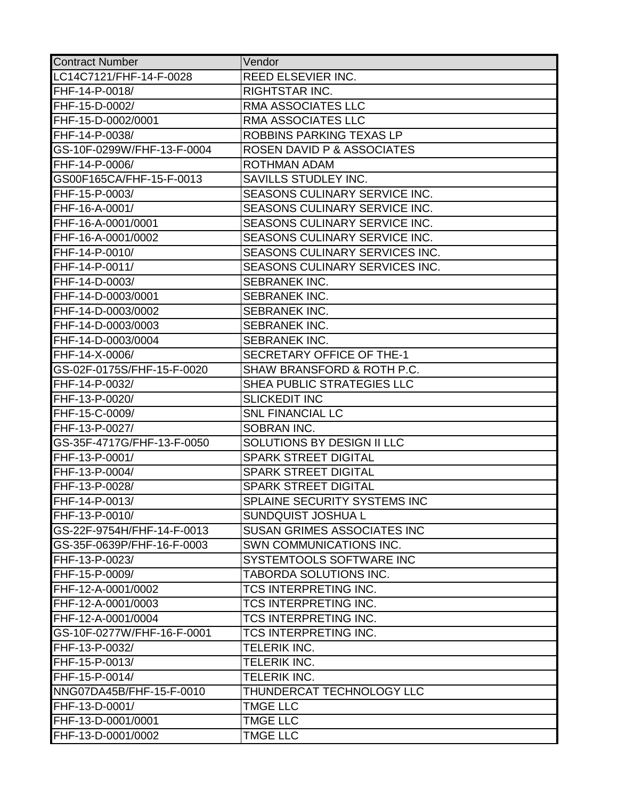| <b>Contract Number</b>     | Vendor                               |
|----------------------------|--------------------------------------|
| LC14C7121/FHF-14-F-0028    | REED ELSEVIER INC.                   |
| FHF-14-P-0018/             | <b>RIGHTSTAR INC.</b>                |
| FHF-15-D-0002/             | RMA ASSOCIATES LLC                   |
| FHF-15-D-0002/0001         | RMA ASSOCIATES LLC                   |
| FHF-14-P-0038/             | ROBBINS PARKING TEXAS LP             |
| GS-10F-0299W/FHF-13-F-0004 | ROSEN DAVID P & ASSOCIATES           |
| FHF-14-P-0006/             | <b>ROTHMAN ADAM</b>                  |
| GS00F165CA/FHF-15-F-0013   | SAVILLS STUDLEY INC.                 |
| FHF-15-P-0003/             | SEASONS CULINARY SERVICE INC.        |
| FHF-16-A-0001/             | SEASONS CULINARY SERVICE INC.        |
| FHF-16-A-0001/0001         | <b>SEASONS CULINARY SERVICE INC.</b> |
| FHF-16-A-0001/0002         | SEASONS CULINARY SERVICE INC.        |
| FHF-14-P-0010/             | SEASONS CULINARY SERVICES INC.       |
| FHF-14-P-0011/             | SEASONS CULINARY SERVICES INC.       |
| FHF-14-D-0003/             | SEBRANEK INC.                        |
| FHF-14-D-0003/0001         | SEBRANEK INC.                        |
| FHF-14-D-0003/0002         | <b>SEBRANEK INC.</b>                 |
| FHF-14-D-0003/0003         | <b>SEBRANEK INC.</b>                 |
| FHF-14-D-0003/0004         | <b>SEBRANEK INC.</b>                 |
| FHF-14-X-0006/             | SECRETARY OFFICE OF THE-1            |
| GS-02F-0175S/FHF-15-F-0020 | SHAW BRANSFORD & ROTH P.C.           |
| FHF-14-P-0032/             | SHEA PUBLIC STRATEGIES LLC           |
| FHF-13-P-0020/             | <b>SLICKEDIT INC</b>                 |
| FHF-15-C-0009/             | <b>SNL FINANCIAL LC</b>              |
| FHF-13-P-0027/             | SOBRAN INC.                          |
| GS-35F-4717G/FHF-13-F-0050 | SOLUTIONS BY DESIGN II LLC           |
| FHF-13-P-0001/             | <b>SPARK STREET DIGITAL</b>          |
| FHF-13-P-0004/             | <b>SPARK STREET DIGITAL</b>          |
| FHF-13-P-0028/             | <b>SPARK STREET DIGITAL</b>          |
| FHF-14-P-0013/             | SPLAINE SECURITY SYSTEMS INC         |
| FHF-13-P-0010/             | <b>SUNDQUIST JOSHUA L</b>            |
| GS-22F-9754H/FHF-14-F-0013 | <b>SUSAN GRIMES ASSOCIATES INC</b>   |
| GS-35F-0639P/FHF-16-F-0003 | SWN COMMUNICATIONS INC.              |
| FHF-13-P-0023/             | SYSTEMTOOLS SOFTWARE INC             |
| FHF-15-P-0009/             | TABORDA SOLUTIONS INC.               |
| FHF-12-A-0001/0002         | TCS INTERPRETING INC.                |
| FHF-12-A-0001/0003         | <b>TCS INTERPRETING INC.</b>         |
| FHF-12-A-0001/0004         | <b>TCS INTERPRETING INC.</b>         |
| GS-10F-0277W/FHF-16-F-0001 | <b>TCS INTERPRETING INC.</b>         |
| FHF-13-P-0032/             | TELERIK INC.                         |
| FHF-15-P-0013/             | TELERIK INC.                         |
| FHF-15-P-0014/             | TELERIK INC.                         |
| NNG07DA45B/FHF-15-F-0010   | THUNDERCAT TECHNOLOGY LLC            |
| FHF-13-D-0001/             | <b>TMGE LLC</b>                      |
| FHF-13-D-0001/0001         | <b>TMGE LLC</b>                      |
| FHF-13-D-0001/0002         | <b>TMGE LLC</b>                      |